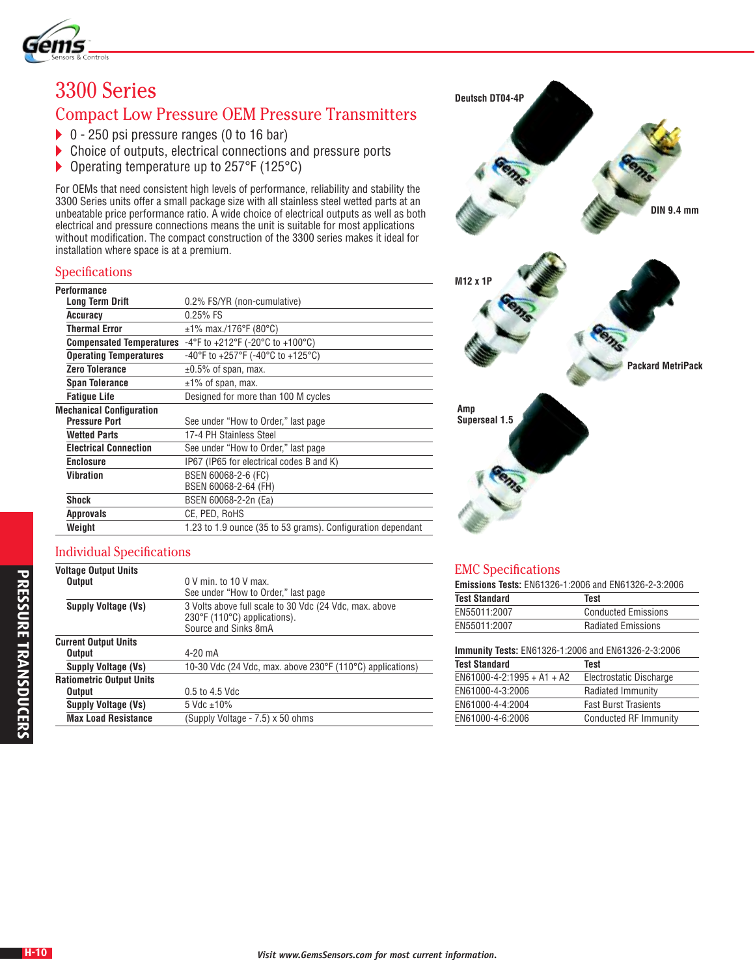

# 3300 Series

## Compact Low Pressure OEM Pressure Transmitters

- ▶ 0 250 psi pressure ranges (0 to 16 bar)
- ▶ Choice of outputs, electrical connections and pressure ports
- ▶ Operating temperature up to 257°F (125°C)

For OEMs that need consistent high levels of performance, reliability and stability the 3300 Series units offer a small package size with all stainless steel wetted parts at an unbeatable price performance ratio. A wide choice of electrical outputs as well as both electrical and pressure connections means the unit is suitable for most applications without modification. The compact construction of the 3300 series makes it ideal for installation where space is at a premium.

#### Specifications

| 0.2% FS/YR (non-cumulative)                                         |
|---------------------------------------------------------------------|
| $0.25%$ FS                                                          |
| $\pm$ 1% max./176°F (80°C)                                          |
| -4°F to +212°F (-20°C to +100°C)<br><b>Compensated Temperatures</b> |
| -40°F to +257°F (-40°C to +125°C)                                   |
| $\pm 0.5\%$ of span, max.                                           |
| $±1\%$ of span, max.                                                |
| Designed for more than 100 M cycles                                 |
|                                                                     |
| See under "How to Order," last page                                 |
| 17-4 PH Stainless Steel                                             |
| See under "How to Order," last page                                 |
| IP67 (IP65 for electrical codes B and K)                            |
| BSEN 60068-2-6 (FC)                                                 |
| BSEN 60068-2-64 (FH)                                                |
| BSEN 60068-2-2n (Ea)                                                |
| CE, PED, RoHS                                                       |
| 1.23 to 1.9 ounce (35 to 53 grams). Configuration dependant         |
|                                                                     |

## Individual Specifications

| <b>Voltage Output Units</b>     |                                                                                                                                     |
|---------------------------------|-------------------------------------------------------------------------------------------------------------------------------------|
| <b>Output</b>                   | $0 \vee$ min. to 10 V max.                                                                                                          |
|                                 | See under "How to Order," last page                                                                                                 |
| <b>Supply Voltage (Vs)</b>      | 3 Volts above full scale to 30 Vdc (24 Vdc, max. above<br>$230^{\circ}$ F (110 $^{\circ}$ C) applications).<br>Source and Sinks 8mA |
| <b>Current Output Units</b>     |                                                                                                                                     |
|                                 |                                                                                                                                     |
| Output                          | 4-20 mA                                                                                                                             |
| <b>Supply Voltage (Vs)</b>      | 10-30 Vdc (24 Vdc, max. above 230°F (110°C) applications)                                                                           |
| <b>Ratiometric Output Units</b> |                                                                                                                                     |
| <b>Output</b>                   | 0.5 to 4.5 Vdc                                                                                                                      |
| <b>Supply Voltage (Vs)</b>      | 5 Vdc $\pm$ 10%                                                                                                                     |
| <b>Max Load Resistance</b>      | (Supply Voltage - 7.5) x 50 ohms                                                                                                    |
|                                 |                                                                                                                                     |



### EMC Specifications

**Emissions Tests:** EN61326-1:2006 and EN61326-2-3:2006

| <b>Test Standard</b> | Test                                                |
|----------------------|-----------------------------------------------------|
| EN55011:2007         | <b>Conducted Emissions</b>                          |
| EN55011:2007         | <b>Radiated Emissions</b>                           |
|                      | Immunity Toete: ENG1396-1:2006 and ENG1396-2-3:2006 |

| <b>Immunity Tests: EN61326-1:2006 and EN61326-2-3:2006</b> |                             |  |  |  |  |  |  |
|------------------------------------------------------------|-----------------------------|--|--|--|--|--|--|
| <b>Test Standard</b>                                       | Test                        |  |  |  |  |  |  |
| $EN61000-4-2:1995 + A1 + A2$                               | Electrostatic Discharge     |  |  |  |  |  |  |
| EN61000-4-3:2006                                           | Radiated Immunity           |  |  |  |  |  |  |
| EN61000-4-4:2004                                           | <b>Fast Burst Trasients</b> |  |  |  |  |  |  |
| EN61000-4-6:2006                                           | Conducted RF Immunity       |  |  |  |  |  |  |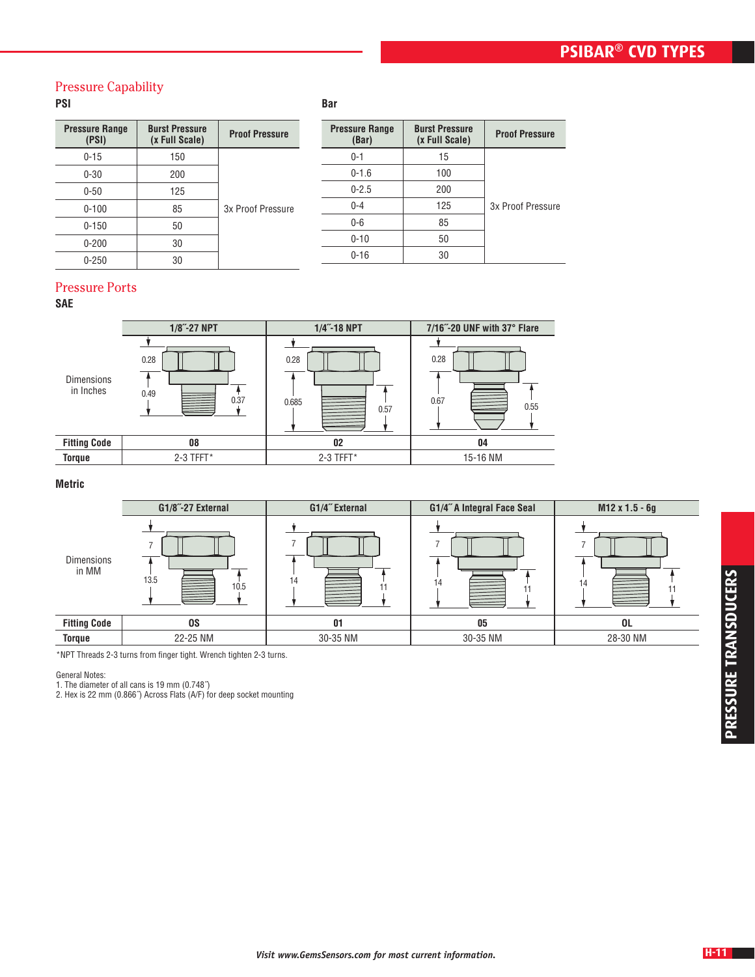## **PSIBAR® CVD types**

## Pressure Capability

## **PSI**

| <b>Pressure Range</b><br>(PSI) | <b>Burst Pressure</b><br>(x Full Scale) | <b>Proof Pressure</b> |
|--------------------------------|-----------------------------------------|-----------------------|
| $0 - 15$                       | 150                                     |                       |
| $0 - 30$                       | 200                                     |                       |
| $0 - 50$                       | 125                                     |                       |
| $0 - 100$                      | 85                                      | 3x Proof Pressure     |
| $0 - 150$                      | 50                                      |                       |
| $0 - 200$                      | 30                                      |                       |
| $0 - 250$                      | 30                                      |                       |

| <b>Proof Pressure</b> | <b>Burst Pressure</b><br>(x Full Scale) | <b>Pressure Range</b><br>(Bar) |
|-----------------------|-----------------------------------------|--------------------------------|
|                       | 15                                      | $0 - 1$                        |
|                       | 100                                     | $0 - 1.6$                      |
|                       | 200                                     | $0 - 2.5$                      |
| 3x Proof Pressure     | 125                                     | $0 - 4$                        |
|                       | 85                                      | $0-6$                          |
|                       | 50                                      | $0 - 10$                       |
|                       | 30                                      | $0 - 16$                       |
|                       |                                         |                                |

#### Pressure Ports

#### **SAE**

|                                | $1/8$ "-27 NPT       | 1/4"-18 NPT           | 7/16"-20 UNF with 37° Flare |  |  |
|--------------------------------|----------------------|-----------------------|-----------------------------|--|--|
| <b>Dimensions</b><br>in Inches | 0.28<br>0.49<br>0.37 | 0.28<br>0.685<br>0.57 | 0.28<br>0.67<br>≣<br>0.55   |  |  |
| <b>Fitting Code</b>            | 08                   | 02                    | 04                          |  |  |
| <b>Torque</b>                  | 2-3 TFFT*            | 2-3 TFFT*             | 15-16 NM                    |  |  |
|                                |                      |                       |                             |  |  |

**Bar**

#### **Metric**

|                            | G1/8"-27 External | G1/4" External | G1/4" A Integral Face Seal | M12 x 1.5 - 6g |
|----------------------------|-------------------|----------------|----------------------------|----------------|
| <b>Dimensions</b><br>in MM | 13.5<br>10.5      | 14             | 14<br>≡                    | 14             |
| <b>Fitting Code</b>        | OS.               | 01             | 05                         | 0L             |
| <b>Torque</b>              | 22-25 NM          | 30-35 NM       | 30-35 NM                   | 28-30 NM       |

\*NPT Threads 2-3 turns from finger tight. Wrench tighten 2-3 turns.

General Notes:

1. The diameter of all cans is 19 mm (0.748˝)

2. Hex is 22 mm (0.866˝) Across Flats (A/F) for deep socket mounting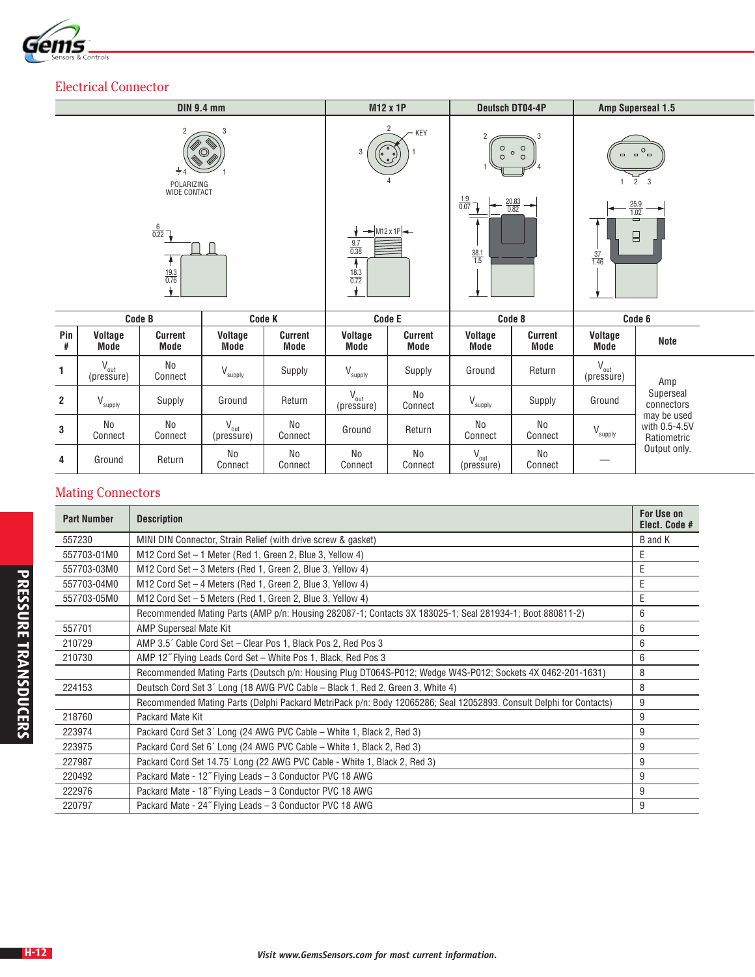

## Electrical Connector

|          |                                                                       | <b>DIN 9.4 mm</b>                 |                     |                               | M12 x 1P                                                            |                                 | <b>Deutsch DT04-4P</b>                   |                                    | Amp Superseal 1.5    |                                                         |  |
|----------|-----------------------------------------------------------------------|-----------------------------------|---------------------|-------------------------------|---------------------------------------------------------------------|---------------------------------|------------------------------------------|------------------------------------|----------------------|---------------------------------------------------------|--|
|          |                                                                       | $\circledcirc$<br>$\frac{1}{2}$ 4 |                     |                               | $\overline{2}$<br>$\circ$<br>3<br>$\circ$                           | $-$ KEY<br>$\sim$ $\frac{1}{2}$ | $\circ$<br>$\circ$                       | $\circ$<br>$\circ$<br>$\circ$      | $\qquad \qquad \Box$ | $O_{\square}$<br>$\Box$<br>$2 \quad 3$                  |  |
|          | POLARIZING<br>WIDE CONTACT<br>$\frac{6}{0.22}$<br>$\frac{19.3}{0.76}$ |                                   |                     |                               | $\rightarrow$ M12 x 1P<br>$\frac{9.7}{0.38}$<br>$\frac{18.3}{0.72}$ |                                 | $\frac{1.9}{0.07}$<br>$\frac{38.1}{1.5}$ | $\frac{20.83}{0.82}$ $\rightarrow$ | $\frac{37}{1.46}$    | $\frac{25.9}{1.02}$<br>$\longrightarrow$<br>O<br>$\Box$ |  |
|          | Code B                                                                |                                   | <b>Code K</b>       |                               | Code E                                                              |                                 | Code 8                                   |                                    |                      | Code 6                                                  |  |
| Pin<br>ш | Voltage<br>$M = A$                                                    | Current<br>$M = A$                | Voltage<br>$M = -1$ | <b>Current</b><br><b>Mode</b> | Voltage<br><b>Blade</b>                                             | Current<br><b>Blade</b>         | Voltage<br><b>Made</b>                   | <b>Current</b><br>$M = -1$         | Voltage<br>$M = -1$  | Note                                                    |  |

| Pin | Voltage<br>Mode      | Current<br>Mode | Voltage<br>Mode                      | Current<br>Mode      | Voltage<br>Mode         | Current<br>Mode      | <b>Voltage</b><br>Mode               | <b>Current</b><br>Mode | Voltage<br>Mode     | Note                                        |
|-----|----------------------|-----------------|--------------------------------------|----------------------|-------------------------|----------------------|--------------------------------------|------------------------|---------------------|---------------------------------------------|
|     | ″ out<br>(pressure)  | No<br>Connect   | $\mathcal{U}$<br>v <sub>Supply</sub> | Supply               | $\mathcal{L}$<br>supply | Supply               | Ground                               | Return                 | v out<br>(pressure) | Amp                                         |
| 2   | supply               | Supply          | Ground                               | Return               | out<br>(pressure)       | <b>No</b><br>Connect | v <sub>Supply</sub>                  | Supply                 | Ground              | Superseal<br>connectors                     |
| 3   | <b>No</b><br>Connect | No<br>Connect   | $\mathcal{U}$<br>" out<br>(pressure) | <b>No</b><br>Connect | Ground                  | Return               | <b>No</b><br>Connect                 | No<br>Connect          | supply              | may be used<br>with 0.5-4.5V<br>Ratiometric |
| 4   | Ground               | Return          | <b>No</b><br>Connect                 | <b>No</b><br>Connect | <b>No</b><br>Connect    | <b>No</b><br>Connect | $\mathcal{U}$<br>v out<br>(pressure) | No<br>Connect          |                     | Output only.                                |

# Mating Connectors

| <b>Part Number</b> | <b>Description</b>                                                                                                 | <b>For Use on</b><br>Elect. Code # |
|--------------------|--------------------------------------------------------------------------------------------------------------------|------------------------------------|
| 557230             | MINI DIN Connector, Strain Relief (with drive screw & gasket)                                                      | B and K                            |
| 557703-01M0        | M12 Cord Set - 1 Meter (Red 1, Green 2, Blue 3, Yellow 4)                                                          | E                                  |
| 557703-03M0        | M12 Cord Set - 3 Meters (Red 1, Green 2, Blue 3, Yellow 4)                                                         | E                                  |
| 557703-04M0        | M12 Cord Set - 4 Meters (Red 1, Green 2, Blue 3, Yellow 4)                                                         | E                                  |
| 557703-05M0        | M12 Cord Set - 5 Meters (Red 1, Green 2, Blue 3, Yellow 4)                                                         | Ε                                  |
|                    | Recommended Mating Parts (AMP p/n: Housing 282087-1; Contacts 3X 183025-1; Seal 281934-1; Boot 880811-2)           | 6                                  |
| 557701             | <b>AMP Superseal Mate Kit</b>                                                                                      | 6                                  |
| 210729             | AMP 3.5' Cable Cord Set – Clear Pos 1, Black Pos 2, Red Pos 3                                                      | 6                                  |
| 210730             | AMP 12" Flying Leads Cord Set - White Pos 1, Black, Red Pos 3                                                      | 6                                  |
|                    | Recommended Mating Parts (Deutsch p/n: Housing Plug DT064S-P012; Wedge W4S-P012; Sockets 4X 0462-201-1631)         | 8                                  |
| 224153             | Deutsch Cord Set 3' Long (18 AWG PVC Cable - Black 1, Red 2, Green 3, White 4)                                     | 8                                  |
|                    | Recommended Mating Parts (Delphi Packard MetriPack p/n: Body 12065286; Seal 12052893. Consult Delphi for Contacts) | 9                                  |
| 218760             | Packard Mate Kit                                                                                                   | 9                                  |
| 223974             | Packard Cord Set 3' Long (24 AWG PVC Cable – White 1, Black 2, Red 3)                                              | 9                                  |
| 223975             | Packard Cord Set 6' Long (24 AWG PVC Cable – White 1, Black 2, Red 3)                                              | 9                                  |
| 227987             | Packard Cord Set 14.75' Long (22 AWG PVC Cable - White 1, Black 2, Red 3)                                          | 9                                  |
| 220492             | Packard Mate - 12" Flying Leads - 3 Conductor PVC 18 AWG                                                           | 9                                  |
| 222976             | Packard Mate - 18" Flying Leads - 3 Conductor PVC 18 AWG                                                           | 9                                  |
| 220797             | Packard Mate - 24" Flying Leads - 3 Conductor PVC 18 AWG                                                           | 9                                  |